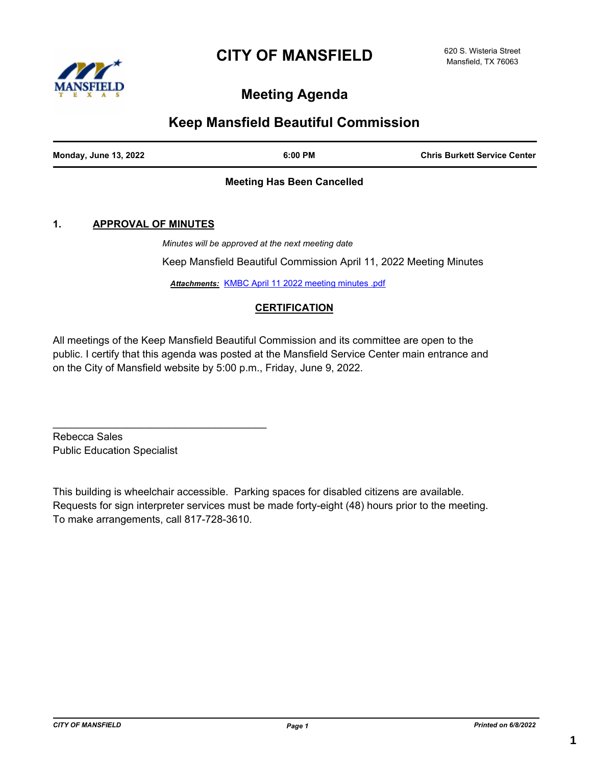# **CITY OF MANSFIELD**



# **Meeting Agenda**

### **Keep Mansfield Beautiful Commission**

| <b>Monday, June 13, 2022</b> | 6:00 PM | <b>Chris Burkett Service Center</b> |
|------------------------------|---------|-------------------------------------|
|                              |         |                                     |

#### **Meeting Has Been Cancelled**

#### **1. APPROVAL OF MINUTES**

*Minutes will be approved at the next meeting date*

Keep Mansfield Beautiful Commission April 11, 2022 Meeting Minutes

*Attachments:* [KMBC April 11 2022 meeting minutes .pdf](http://Mansfield.legistar.com/gateway.aspx?M=F&ID=01b0c2fc-20a9-4e41-a220-de95a369e965.pdf)

#### **CERTIFICATION**

All meetings of the Keep Mansfield Beautiful Commission and its committee are open to the public. I certify that this agenda was posted at the Mansfield Service Center main entrance and on the City of Mansfield website by 5:00 p.m., Friday, June 9, 2022.

Rebecca Sales Public Education Specialist

 $\mathcal{L}_\text{max}$  and  $\mathcal{L}_\text{max}$  and  $\mathcal{L}_\text{max}$  and  $\mathcal{L}_\text{max}$ 

This building is wheelchair accessible. Parking spaces for disabled citizens are available. Requests for sign interpreter services must be made forty-eight (48) hours prior to the meeting. To make arrangements, call 817-728-3610.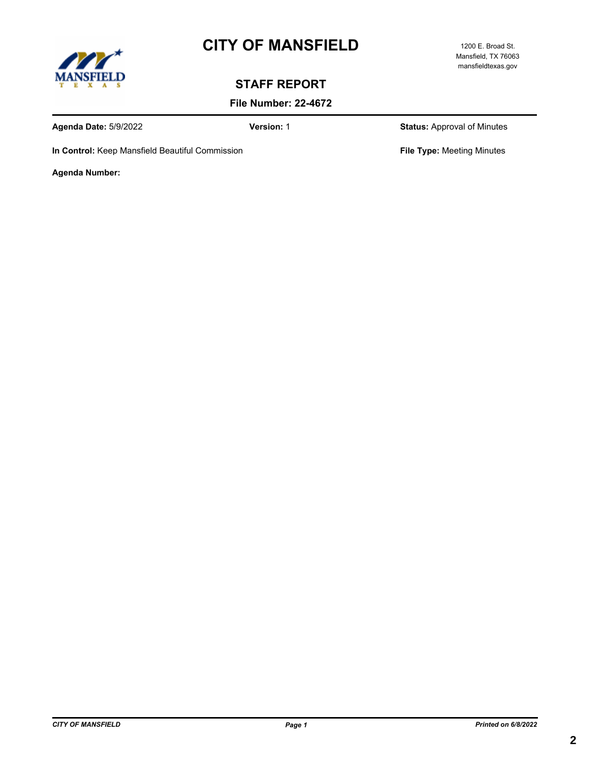# **CITY OF MANSFIELD** 1200 E. Broad St.



#### Mansfield, TX 76063 mansfieldtexas.gov

# **STAFF REPORT**

**File Number: 22-4672**

**Agenda Date:** 5/9/2022 **Version:** 1 **Status:** Approval of Minutes

**In Control:** Keep Mansfield Beautiful Commission **File Type:** Meeting Minutes

**Agenda Number:**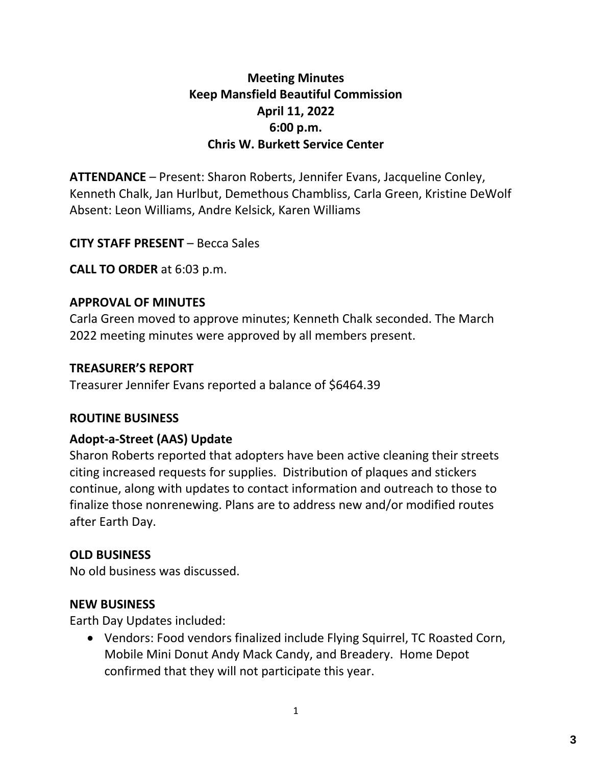# **Meeting Minutes Keep Mansfield Beautiful Commission April 11, 2022 6:00 p.m. Chris W. Burkett Service Center**

**ATTENDANCE** – Present: Sharon Roberts, Jennifer Evans, Jacqueline Conley, Kenneth Chalk, Jan Hurlbut, Demethous Chambliss, Carla Green, Kristine DeWolf Absent: Leon Williams, Andre Kelsick, Karen Williams

**CITY STAFF PRESENT** – Becca Sales

**CALL TO ORDER** at 6:03 p.m.

## **APPROVAL OF MINUTES**

Carla Green moved to approve minutes; Kenneth Chalk seconded. The March 2022 meeting minutes were approved by all members present.

## **TREASURER'S REPORT**

Treasurer Jennifer Evans reported a balance of \$6464.39

### **ROUTINE BUSINESS**

# **Adopt-a-Street (AAS) Update**

Sharon Roberts reported that adopters have been active cleaning their streets citing increased requests for supplies. Distribution of plaques and stickers continue, along with updates to contact information and outreach to those to finalize those nonrenewing. Plans are to address new and/or modified routes after Earth Day.

# **OLD BUSINESS**

No old business was discussed.

### **NEW BUSINESS**

Earth Day Updates included:

 Vendors: Food vendors finalized include Flying Squirrel, TC Roasted Corn, Mobile Mini Donut Andy Mack Candy, and Breadery. Home Depot confirmed that they will not participate this year.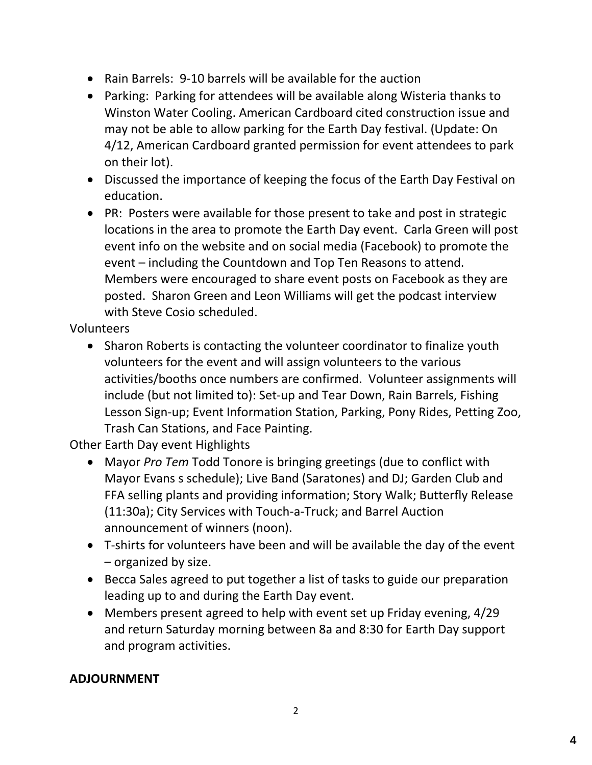- Rain Barrels: 9-10 barrels will be available for the auction
- Parking: Parking for attendees will be available along Wisteria thanks to Winston Water Cooling. American Cardboard cited construction issue and may not be able to allow parking for the Earth Day festival. (Update: On 4/12, American Cardboard granted permission for event attendees to park on their lot).
- Discussed the importance of keeping the focus of the Earth Day Festival on education.
- PR: Posters were available for those present to take and post in strategic locations in the area to promote the Earth Day event. Carla Green will post event info on the website and on social media (Facebook) to promote the event – including the Countdown and Top Ten Reasons to attend. Members were encouraged to share event posts on Facebook as they are posted. Sharon Green and Leon Williams will get the podcast interview with Steve Cosio scheduled.

### Volunteers

• Sharon Roberts is contacting the volunteer coordinator to finalize youth volunteers for the event and will assign volunteers to the various activities/booths once numbers are confirmed. Volunteer assignments will include (but not limited to): Set-up and Tear Down, Rain Barrels, Fishing Lesson Sign-up; Event Information Station, Parking, Pony Rides, Petting Zoo, Trash Can Stations, and Face Painting.

Other Earth Day event Highlights

- Mayor *Pro Tem* Todd Tonore is bringing greetings (due to conflict with Mayor Evans s schedule); Live Band (Saratones) and DJ; Garden Club and FFA selling plants and providing information; Story Walk; Butterfly Release (11:30a); City Services with Touch-a-Truck; and Barrel Auction announcement of winners (noon).
- T-shirts for volunteers have been and will be available the day of the event – organized by size.
- Becca Sales agreed to put together a list of tasks to guide our preparation leading up to and during the Earth Day event.
- Members present agreed to help with event set up Friday evening, 4/29 and return Saturday morning between 8a and 8:30 for Earth Day support and program activities.

### **ADJOURNMENT**